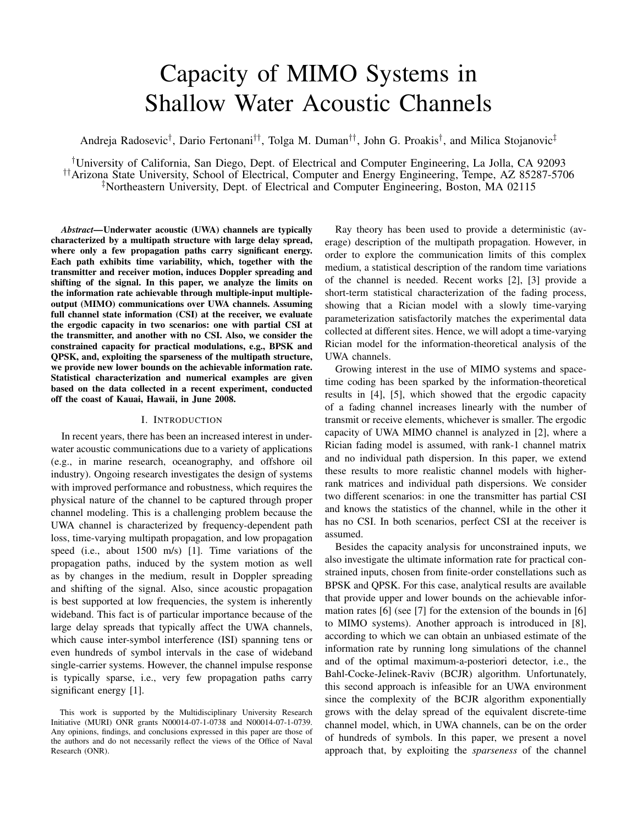# Capacity of MIMO Systems in Shallow Water Acoustic Channels

Andreja Radosevic<sup>†</sup>, Dario Fertonani<sup>††</sup>, Tolga M. Duman<sup>††</sup>, John G. Proakis<sup>†</sup>, and Milica Stojanovic<sup>‡</sup>

†University of California, San Diego, Dept. of Electrical and Computer Engineering, La Jolla, CA 92093 ††Arizona State University, School of Electrical, Computer and Energy Engineering, Tempe, AZ 85287-5706 ‡Northeastern University, Dept. of Electrical and Computer Engineering, Boston, MA 02115

*Abstract*—Underwater acoustic (UWA) channels are typically characterized by a multipath structure with large delay spread, where only a few propagation paths carry significant energy. Each path exhibits time variability, which, together with the transmitter and receiver motion, induces Doppler spreading and shifting of the signal. In this paper, we analyze the limits on the information rate achievable through multiple-input multipleoutput (MIMO) communications over UWA channels. Assuming full channel state information (CSI) at the receiver, we evaluate the ergodic capacity in two scenarios: one with partial CSI at the transmitter, and another with no CSI. Also, we consider the constrained capacity for practical modulations, e.g., BPSK and QPSK, and, exploiting the sparseness of the multipath structure, we provide new lower bounds on the achievable information rate. Statistical characterization and numerical examples are given based on the data collected in a recent experiment, conducted off the coast of Kauai, Hawaii, in June 2008.

#### I. INTRODUCTION

In recent years, there has been an increased interest in underwater acoustic communications due to a variety of applications (e.g., in marine research, oceanography, and offshore oil industry). Ongoing research investigates the design of systems with improved performance and robustness, which requires the physical nature of the channel to be captured through proper channel modeling. This is a challenging problem because the UWA channel is characterized by frequency-dependent path loss, time-varying multipath propagation, and low propagation speed (i.e., about 1500 m/s) [1]. Time variations of the propagation paths, induced by the system motion as well as by changes in the medium, result in Doppler spreading and shifting of the signal. Also, since acoustic propagation is best supported at low frequencies, the system is inherently wideband. This fact is of particular importance because of the large delay spreads that typically affect the UWA channels, which cause inter-symbol interference (ISI) spanning tens or even hundreds of symbol intervals in the case of wideband single-carrier systems. However, the channel impulse response is typically sparse, i.e., very few propagation paths carry significant energy [1].

Ray theory has been used to provide a deterministic (average) description of the multipath propagation. However, in order to explore the communication limits of this complex medium, a statistical description of the random time variations of the channel is needed. Recent works [2], [3] provide a short-term statistical characterization of the fading process, showing that a Rician model with a slowly time-varying parameterization satisfactorily matches the experimental data collected at different sites. Hence, we will adopt a time-varying Rician model for the information-theoretical analysis of the UWA channels.

Growing interest in the use of MIMO systems and spacetime coding has been sparked by the information-theoretical results in [4], [5], which showed that the ergodic capacity of a fading channel increases linearly with the number of transmit or receive elements, whichever is smaller. The ergodic capacity of UWA MIMO channel is analyzed in [2], where a Rician fading model is assumed, with rank-1 channel matrix and no individual path dispersion. In this paper, we extend these results to more realistic channel models with higherrank matrices and individual path dispersions. We consider two different scenarios: in one the transmitter has partial CSI and knows the statistics of the channel, while in the other it has no CSI. In both scenarios, perfect CSI at the receiver is assumed.

Besides the capacity analysis for unconstrained inputs, we also investigate the ultimate information rate for practical constrained inputs, chosen from finite-order constellations such as BPSK and QPSK. For this case, analytical results are available that provide upper and lower bounds on the achievable information rates [6] (see [7] for the extension of the bounds in [6] to MIMO systems). Another approach is introduced in [8], according to which we can obtain an unbiased estimate of the information rate by running long simulations of the channel and of the optimal maximum-a-posteriori detector, i.e., the Bahl-Cocke-Jelinek-Raviv (BCJR) algorithm. Unfortunately, this second approach is infeasible for an UWA environment since the complexity of the BCJR algorithm exponentially grows with the delay spread of the equivalent discrete-time channel model, which, in UWA channels, can be on the order of hundreds of symbols. In this paper, we present a novel approach that, by exploiting the *sparseness* of the channel

This work is supported by the Multidisciplinary University Research Initiative (MURI) ONR grants N00014-07-1-0738 and N00014-07-1-0739. Any opinions, findings, and conclusions expressed in this paper are those of the authors and do not necessarily reflect the views of the Office of Naval Research (ONR).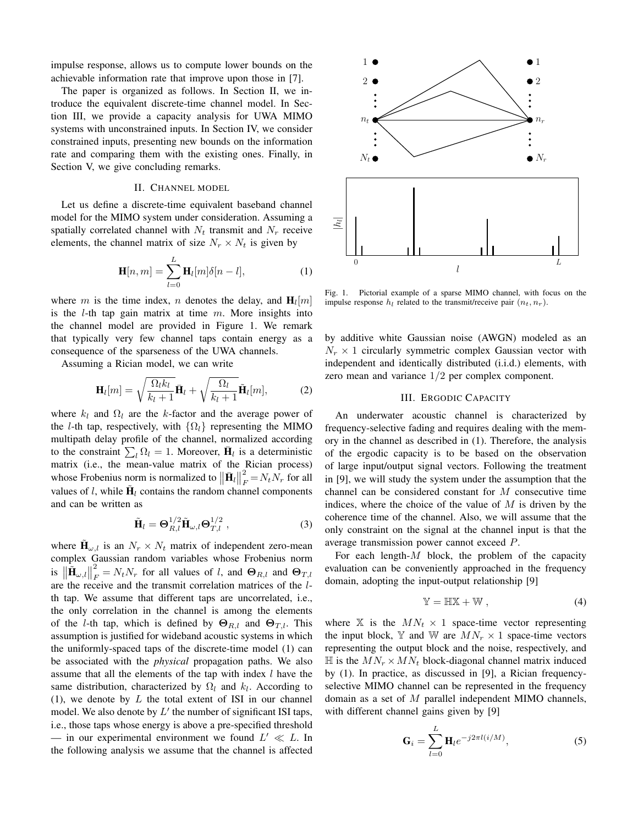impulse response, allows us to compute lower bounds on the achievable information rate that improve upon those in [7].

The paper is organized as follows. In Section II, we introduce the equivalent discrete-time channel model. In Section III, we provide a capacity analysis for UWA MIMO systems with unconstrained inputs. In Section IV, we consider constrained inputs, presenting new bounds on the information rate and comparing them with the existing ones. Finally, in Section V, we give concluding remarks.

## II. CHANNEL MODEL

Let us define a discrete-time equivalent baseband channel model for the MIMO system under consideration. Assuming a spatially correlated channel with  $N_t$  transmit and  $N_r$  receive elements, the channel matrix of size  $N_r \times N_t$  is given by

$$
\mathbf{H}[n,m] = \sum_{l=0}^{L} \mathbf{H}_l[m]\delta[n-l],\tag{1}
$$

where m is the time index, n denotes the delay, and  $H_l[m]$ is the *l*-th tap gain matrix at time  $m$ . More insights into the channel model are provided in Figure 1. We remark that typically very few channel taps contain energy as a consequence of the sparseness of the UWA channels.

Assuming a Rician model, we can write

$$
\mathbf{H}_{l}[m] = \sqrt{\frac{\Omega_{l}k_{l}}{k_{l}+1}}\bar{\mathbf{H}}_{l} + \sqrt{\frac{\Omega_{l}}{k_{l}+1}}\tilde{\mathbf{H}}_{l}[m],
$$
 (2)

where  $k_l$  and  $\Omega_l$  are the k-factor and the average power of the *l*-th tap, respectively, with  $\{\Omega_l\}$  representing the MIMO multipath delay profile of the channel, normalized according to the constraint  $\sum_l \Omega_l = 1$ . Moreover,  $\overline{\mathbf{H}}_l$  is a deterministic matrix (i.e., the mean-value matrix of the Rician process) whose Frobenius norm is normalized to  $\|\bar{\mathbf{H}}_l\|$ 2  $\sum_F^2 = N_t N_r$  for all values of l, while  $\tilde{H}_l$  contains the random channel components and can be written as

$$
\tilde{\mathbf{H}}_l = \mathbf{\Theta}_{R,l}^{1/2} \tilde{\mathbf{H}}_{\omega,l} \mathbf{\Theta}_{T,l}^{1/2} , \qquad (3)
$$

where  $\tilde{\mathbf{H}}_{\omega,l}$  is an  $N_r \times N_t$  matrix of independent zero-mean complex Gaussian random variables whose Frobenius norm is  $\|\tilde{\mathbf{H}}_{\omega,l}\|$ 2  $\sum_{F}^{\infty} = N_t N_r$  for all values of l, and  $\Theta_{R,l}$  and  $\Theta_{T,l}$ are the receive and the transmit correlation matrices of the lth tap. We assume that different taps are uncorrelated, i.e., the only correlation in the channel is among the elements of the *l*-th tap, which is defined by  $\Theta_{R,l}$  and  $\Theta_{T,l}$ . This assumption is justified for wideband acoustic systems in which the uniformly-spaced taps of the discrete-time model (1) can be associated with the *physical* propagation paths. We also assume that all the elements of the tap with index  $l$  have the same distribution, characterized by  $\Omega_l$  and  $k_l$ . According to (1), we denote by  $L$  the total extent of ISI in our channel model. We also denote by  $L'$  the number of significant ISI taps, i.e., those taps whose energy is above a pre-specified threshold — in our experimental environment we found  $L' \ll L$ . In the following analysis we assume that the channel is affected



Fig. 1. Pictorial example of a sparse MIMO channel, with focus on the impulse response  $h_l$  related to the transmit/receive pair  $(n_t, n_r)$ .

by additive white Gaussian noise (AWGN) modeled as an  $N_r \times 1$  circularly symmetric complex Gaussian vector with independent and identically distributed (i.i.d.) elements, with zero mean and variance 1/2 per complex component.

### III. ERGODIC CAPACITY

An underwater acoustic channel is characterized by frequency-selective fading and requires dealing with the memory in the channel as described in (1). Therefore, the analysis of the ergodic capacity is to be based on the observation of large input/output signal vectors. Following the treatment in [9], we will study the system under the assumption that the channel can be considered constant for M consecutive time indices, where the choice of the value of  $M$  is driven by the coherence time of the channel. Also, we will assume that the only constraint on the signal at the channel input is that the average transmission power cannot exceed P.

For each length- $M$  block, the problem of the capacity evaluation can be conveniently approached in the frequency domain, adopting the input-output relationship [9]

$$
\mathbb{Y} = \mathbb{H}\mathbb{X} + \mathbb{W} \,,\tag{4}
$$

where X is the  $MN_t \times 1$  space-time vector representing the input block, Y and W are  $MN_r \times 1$  space-time vectors representing the output block and the noise, respectively, and  $\mathbb{H}$  is the  $MN_r \times MN_t$  block-diagonal channel matrix induced by (1). In practice, as discussed in [9], a Rician frequencyselective MIMO channel can be represented in the frequency domain as a set of  $M$  parallel independent MIMO channels, with different channel gains given by [9]

$$
\mathbf{G}_i = \sum_{l=0}^{L} \mathbf{H}_l e^{-j2\pi l(i/M)},\tag{5}
$$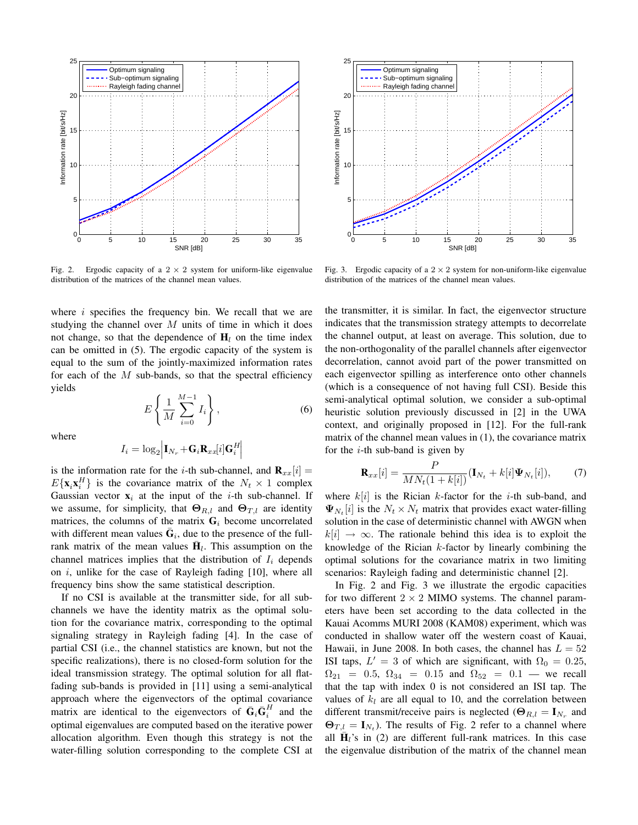

Fig. 2. Ergodic capacity of a  $2 \times 2$  system for uniform-like eigenvalue distribution of the matrices of the channel mean values.

where  $i$  specifies the frequency bin. We recall that we are studying the channel over  $M$  units of time in which it does not change, so that the dependence of  $H_l$  on the time index can be omitted in (5). The ergodic capacity of the system is equal to the sum of the jointly-maximized information rates for each of the  $M$  sub-bands, so that the spectral efficiency yields  $\sum^{M-1}$ 

where

$$
I_i = \log_2 \left|\mathbf{I}_{N_r} + \mathbf{G}_i \mathbf{R}_{xx}[i] \mathbf{G}_i^H\right|
$$

 $i=0$  $I_i$ )

 $(6)$ 

E  $\int_1$ M

is the information rate for the *i*-th sub-channel, and  $\mathbf{R}_{xx}[i] =$  $E\{\mathbf{x}_i \mathbf{x}_i^H\}$  is the covariance matrix of the  $N_t \times 1$  complex Gaussian vector  $x_i$  at the input of the *i*-th sub-channel. If we assume, for simplicity, that  $\Theta_{R,l}$  and  $\Theta_{T,l}$  are identity matrices, the columns of the matrix  $G_i$  become uncorrelated with different mean values  $\bar{G}_i$ , due to the presence of the fullrank matrix of the mean values  $\overline{H}_l$ . This assumption on the channel matrices implies that the distribution of  $I_i$  depends on  $i$ , unlike for the case of Rayleigh fading [10], where all frequency bins show the same statistical description.

If no CSI is available at the transmitter side, for all subchannels we have the identity matrix as the optimal solution for the covariance matrix, corresponding to the optimal signaling strategy in Rayleigh fading [4]. In the case of partial CSI (i.e., the channel statistics are known, but not the specific realizations), there is no closed-form solution for the ideal transmission strategy. The optimal solution for all flatfading sub-bands is provided in [11] using a semi-analytical approach where the eigenvectors of the optimal covariance matrix are identical to the eigenvectors of  $\overline{G}_i \overline{G}_i^H$  and the optimal eigenvalues are computed based on the iterative power allocation algorithm. Even though this strategy is not the water-filling solution corresponding to the complete CSI at



Fig. 3. Ergodic capacity of a  $2 \times 2$  system for non-uniform-like eigenvalue distribution of the matrices of the channel mean values.

the transmitter, it is similar. In fact, the eigenvector structure indicates that the transmission strategy attempts to decorrelate the channel output, at least on average. This solution, due to the non-orthogonality of the parallel channels after eigenvector decorrelation, cannot avoid part of the power transmitted on each eigenvector spilling as interference onto other channels (which is a consequence of not having full CSI). Beside this semi-analytical optimal solution, we consider a sub-optimal heuristic solution previously discussed in [2] in the UWA context, and originally proposed in [12]. For the full-rank matrix of the channel mean values in (1), the covariance matrix for the  $i$ -th sub-band is given by

$$
\mathbf{R}_{xx}[i] = \frac{P}{MN_t(1+k[i])}(\mathbf{I}_{N_t} + k[i]\mathbf{\Psi}_{N_t}[i]),\tag{7}
$$

where  $k[i]$  is the Rician k-factor for the *i*-th sub-band, and  $\Psi_{N_t}[i]$  is the  $N_t \times N_t$  matrix that provides exact water-filling solution in the case of deterministic channel with AWGN when  $k[i] \rightarrow \infty$ . The rationale behind this idea is to exploit the knowledge of the Rician  $k$ -factor by linearly combining the optimal solutions for the covariance matrix in two limiting scenarios: Rayleigh fading and deterministic channel [2].

In Fig. 2 and Fig. 3 we illustrate the ergodic capacities for two different  $2 \times 2$  MIMO systems. The channel parameters have been set according to the data collected in the Kauai Acomms MURI 2008 (KAM08) experiment, which was conducted in shallow water off the western coast of Kauai, Hawaii, in June 2008. In both cases, the channel has  $L = 52$ ISI taps,  $L' = 3$  of which are significant, with  $\Omega_0 = 0.25$ ,  $\Omega_{21} = 0.5, \ \Omega_{34} = 0.15 \ \text{and} \ \Omega_{52} = 0.1 \ - \text{we recall}$ that the tap with index 0 is not considered an ISI tap. The values of  $k_l$  are all equal to 10, and the correlation between different transmit/receive pairs is neglected ( $\mathbf{\Theta}_{R,l} = \mathbf{I}_{N_r}$  and  $\mathbf{\Theta}_{T,l} = \mathbf{I}_{N_t}$ ). The results of Fig. 2 refer to a channel where all  $\overline{H}_{l}$ 's in (2) are different full-rank matrices. In this case the eigenvalue distribution of the matrix of the channel mean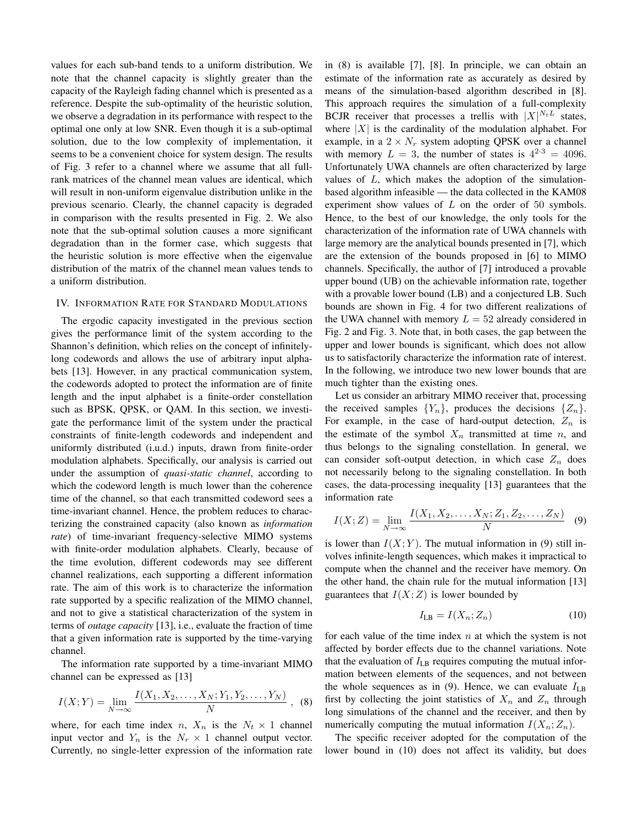values for each sub-band tends to a uniform distribution. We note that the channel capacity is slightly greater than the capacity of the Rayleigh fading channel which is presented as a reference. Despite the sub-optimality of the heuristic solution, we observe a degradation in its performance with respect to the optimal one only at low SNR. Even though it is a sub-optimal solution, due to the low complexity of implementation, it seems to be a convenient choice for system design. The results of Fig. 3 refer to a channel where we assume that all fullrank matrices of the channel mean values are identical, which will result in non-uniform eigenvalue distribution unlike in the previous scenario. Clearly, the channel capacity is degraded in comparison with the results presented in Fig. 2. We also note that the sub-optimal solution causes a more significant degradation than in the former case, which suggests that the heuristic solution is more effective when the eigenvalue distribution of the matrix of the channel mean values tends to a uniform distribution.

# IV. INFORMATION RATE FOR STANDARD MODULATIONS

The ergodic capacity investigated in the previous section gives the performance limit of the system according to the Shannon's definition, which relies on the concept of infinitelylong codewords and allows the use of arbitrary input alphabets [13]. However, in any practical communication system, the codewords adopted to protect the information are of finite length and the input alphabet is a finite-order constellation such as BPSK, QPSK, or QAM. In this section, we investigate the performance limit of the system under the practical constraints of finite-length codewords and independent and uniformly distributed (i.u.d.) inputs, drawn from finite-order modulation alphabets. Specifically, our analysis is carried out under the assumption of *quasi-static channel*, according to which the codeword length is much lower than the coherence time of the channel, so that each transmitted codeword sees a time-invariant channel. Hence, the problem reduces to characterizing the constrained capacity (also known as *information rate*) of time-invariant frequency-selective MIMO systems with finite-order modulation alphabets. Clearly, because of the time evolution, different codewords may see different channel realizations, each supporting a different information rate. The aim of this work is to characterize the information rate supported by a specific realization of the MIMO channel, and not to give a statistical characterization of the system in terms of *outage capacity* [13], i.e., evaluate the fraction of time that a given information rate is supported by the time-varying channel.

The information rate supported by a time-invariant MIMO channel can be expressed as [13]

$$
I(X;Y) = \lim_{N \to \infty} \frac{I(X_1, X_2, \dots, X_N; Y_1, Y_2, \dots, Y_N)}{N}, \quad (8)
$$

where, for each time index n,  $X_n$  is the  $N_t \times 1$  channel input vector and  $Y_n$  is the  $N_r \times 1$  channel output vector. Currently, no single-letter expression of the information rate in (8) is available [7], [8]. In principle, we can obtain an estimate of the information rate as accurately as desired by means of the simulation-based algorithm described in [8]. This approach requires the simulation of a full-complexity BCJR receiver that processes a trellis with  $|X|^{N_tL}$  states, where  $|X|$  is the cardinality of the modulation alphabet. For example, in a  $2 \times N_r$  system adopting QPSK over a channel with memory  $L = 3$ , the number of states is  $4^{2 \cdot 3} = 4096$ . Unfortunately UWA channels are often characterized by large values of  $L$ , which makes the adoption of the simulationbased algorithm infeasible — the data collected in the KAM08 experiment show values of  $L$  on the order of 50 symbols. Hence, to the best of our knowledge, the only tools for the characterization of the information rate of UWA channels with large memory are the analytical bounds presented in [7], which are the extension of the bounds proposed in [6] to MIMO channels. Specifically, the author of [7] introduced a provable upper bound (UB) on the achievable information rate, together with a provable lower bound (LB) and a conjectured LB. Such bounds are shown in Fig. 4 for two different realizations of the UWA channel with memory  $L = 52$  already considered in Fig. 2 and Fig. 3. Note that, in both cases, the gap between the upper and lower bounds is significant, which does not allow us to satisfactorily characterize the information rate of interest. In the following, we introduce two new lower bounds that are much tighter than the existing ones.

Let us consider an arbitrary MIMO receiver that, processing the received samples  ${Y_n}$ , produces the decisions  ${Z_n}$ . For example, in the case of hard-output detection,  $Z_n$  is the estimate of the symbol  $X_n$  transmitted at time n, and thus belongs to the signaling constellation. In general, we can consider soft-output detection, in which case  $Z_n$  does not necessarily belong to the signaling constellation. In both cases, the data-processing inequality [13] guarantees that the information rate

$$
I(X;Z) = \lim_{N \to \infty} \frac{I(X_1, X_2, \dots, X_N; Z_1, Z_2, \dots, Z_N)}{N}
$$
(9)

is lower than  $I(X; Y)$ . The mutual information in (9) still involves infinite-length sequences, which makes it impractical to compute when the channel and the receiver have memory. On the other hand, the chain rule for the mutual information [13] guarantees that  $I(X; Z)$  is lower bounded by

$$
I_{\text{LB}} = I(X_n; Z_n) \tag{10}
$$

for each value of the time index  $n$  at which the system is not affected by border effects due to the channel variations. Note that the evaluation of  $I_{LB}$  requires computing the mutual information between elements of the sequences, and not between the whole sequences as in (9). Hence, we can evaluate  $I_{LB}$ first by collecting the joint statistics of  $X_n$  and  $Z_n$  through long simulations of the channel and the receiver, and then by numerically computing the mutual information  $I(X_n; Z_n)$ .

The specific receiver adopted for the computation of the lower bound in (10) does not affect its validity, but does